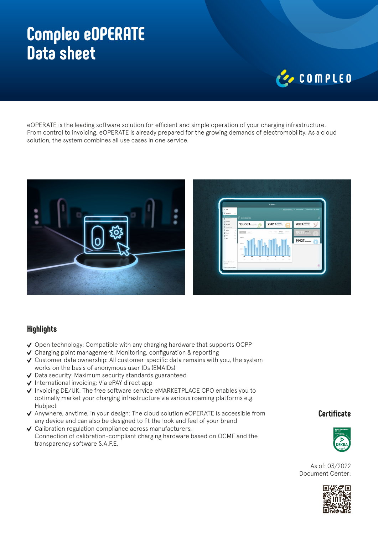# **Compleo eOPERATE Data sheet**

# COMPLED

eOPERATE is the leading software solution for efficient and simple operation of your charging infrastructure. From control to invoicing, eOPERATE is already prepared for the growing demands of electromobility. As a cloud solution, the system combines all use cases in one service.



### **Highlights**

- $\vee$  Open technology: Compatible with any charging hardware that supports OCPP
- $\vee$  Charging point management: Monitoring, configuration & reporting
- Customer data ownership: All customer-specific data remains with you, the system works on the basis of anonymous user IDs (EMAIDs)
- $\vee$  Data security: Maximum security standards guaranteed
- $\checkmark$  International invoicing: Via ePAY direct app
- √ Invoicing DE/UK: The free software service eMARKETPLACE CPO enables you to optimally market your charging infrastructure via various roaming platforms e.g. Hubject
- $\vee$  Anywhere, anytime, in your design: The cloud solution eOPERATE is accessible from any device and can also be designed to fit the look and feel of your brand
- $\vee$  Calibration regulation compliance across manufacturers: Connection of calibration-compliant charging hardware based on OCMF and the transparency software S.A.F.E.

### **Certificate**



As of: 03/2022 Document Center: